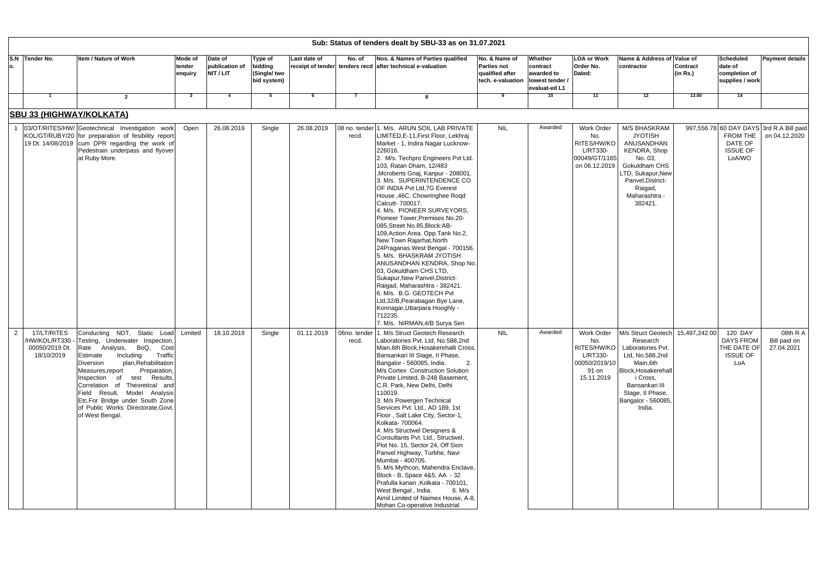| Sub: Status of tenders dealt by SBU-33 as on 31.07.2021 |                                             |                                                                                                                                                                                                                                                                                                                                                                                                                      |                              |                                        |                                                          |              |                       |                                                                                                                                                                                                                                                                                                                                                                                                                                                                                                                                                                                                                                                                                                                                                                                                                                                                       |                                                                                               |                                                    |                                                                                |                                                                                                                                                                                                                          |                             |                                                                      |                                                           |
|---------------------------------------------------------|---------------------------------------------|----------------------------------------------------------------------------------------------------------------------------------------------------------------------------------------------------------------------------------------------------------------------------------------------------------------------------------------------------------------------------------------------------------------------|------------------------------|----------------------------------------|----------------------------------------------------------|--------------|-----------------------|-----------------------------------------------------------------------------------------------------------------------------------------------------------------------------------------------------------------------------------------------------------------------------------------------------------------------------------------------------------------------------------------------------------------------------------------------------------------------------------------------------------------------------------------------------------------------------------------------------------------------------------------------------------------------------------------------------------------------------------------------------------------------------------------------------------------------------------------------------------------------|-----------------------------------------------------------------------------------------------|----------------------------------------------------|--------------------------------------------------------------------------------|--------------------------------------------------------------------------------------------------------------------------------------------------------------------------------------------------------------------------|-----------------------------|----------------------------------------------------------------------|-----------------------------------------------------------|
| S.N Tender No.<br>о.                                    |                                             | <b>Item / Nature of Work</b>                                                                                                                                                                                                                                                                                                                                                                                         | Mode of<br>tender<br>enquiry | Date of<br>publication of<br>NIT / LIT | <b>Type of</b><br>bidding<br>(Single/ two<br>bid system) | Last date of | No. of                | Nos. & Names of Parties qualified<br>receipt of tender tenders recd after technical e-valuation                                                                                                                                                                                                                                                                                                                                                                                                                                                                                                                                                                                                                                                                                                                                                                       | No. & Name of<br><b>Parties not</b><br>qualified after<br>tech. e-valuation   lowest tender / | Whether<br>contract<br>awarded to<br>evaluat-ed L1 | <b>LOA or Work</b><br>Order No.<br>Dated:                                      | Name & Address of Value of<br>contractor                                                                                                                                                                                 | <b>Contract</b><br>(in Rs.) | <b>Scheduled</b><br>date of<br>completion of<br>supplies / work      | <b>Payment details</b>                                    |
|                                                         |                                             | $\overline{2}$                                                                                                                                                                                                                                                                                                                                                                                                       | -3                           | -4                                     | 5                                                        | - 6          |                       |                                                                                                                                                                                                                                                                                                                                                                                                                                                                                                                                                                                                                                                                                                                                                                                                                                                                       | 9                                                                                             | 10                                                 | 11                                                                             | $\overline{12}$                                                                                                                                                                                                          | 13.00                       | 14                                                                   |                                                           |
|                                                         |                                             | <b>SBU 33 (HIGHWAY/KOLKATA)</b>                                                                                                                                                                                                                                                                                                                                                                                      |                              |                                        |                                                          |              |                       |                                                                                                                                                                                                                                                                                                                                                                                                                                                                                                                                                                                                                                                                                                                                                                                                                                                                       |                                                                                               |                                                    |                                                                                |                                                                                                                                                                                                                          |                             |                                                                      |                                                           |
|                                                         |                                             | 03/OT/RITES/HW/ Geotechnical Investigation work<br>KOL/GT/RUBY/20 for preparation of fesibility report<br>19 Dt. 14/08/2019 cum DPR regarding the work of<br>Pedestrain underpass and flyover<br>at Ruby More.                                                                                                                                                                                                       | Open                         | 26.08.2019                             | Single                                                   | 26.08.2019   | recd.                 | 08 no. tender 1. M/s. ARUN SOIL LAB PRIVATE<br>LIMITED, E-11, First Floor, Lekhraj<br>Market - 1, Indira Nagar Lucknow-<br>226016.<br>2. M/s. Techpro Engineers Pvt Ltd.<br>103, Ratan Dham, 12/483<br>,Mcroberts Gnaj, Kanpur - 208001.<br>3. M/s. SUPERINTENDENCE CO<br>OF INDIA Pvt Ltd, 7G Everest<br>House ,46C, Chowringhee Roqd<br>Calcutt- 700017.<br>4. M/s. PIONEER SURVEYORS,<br>Pioneer Tower, Premises No.20-<br>085, Street No.85, Block: AB-<br>109, Action Area. Opp. Tank No.2,<br>New Town Rajarhat, North<br>24Praganas. West Bengal - 700156.<br>5. M/s. BHASKRAM JYOTISH<br>ANUSANDHAN KENDRA, Shop No.<br>03, Gokuldham CHS LTD,<br>Sukapur, New Panvel, District-<br>Raigad, Maharashtra - 382421.<br>6. M/s. B.G. GEOTECH Pvt<br>Ltd, 32/B, Pearabagan Bye Lane,<br>Konnagar, Uttarpara Hooghly -<br>712235.<br>7. M/s. NIRMAN, 4/B Surya Sen | <b>NIL</b>                                                                                    | Awarded                                            | Work Order<br>No.<br>RITES/HW/KO<br>L/RT330-<br>00049/GT/1165<br>on 06.12.2019 | M/S BHASKRAM<br><b>JYOTISH</b><br>ANUSANDHAN<br><b>KENDRA, Shop</b><br>No. 03,<br>Gokuldham CHS<br>LTD, Sukapur, New<br>Panvel, District-<br>Raigad,<br>Maharashtra<br>382421.                                           |                             | FROM THE<br><b>DATE OF</b><br><b>ISSUE OF</b><br>LoA/WO              | 997,556.78 60 DAY DAYS 3rd R.A Bill paid<br>on 04.12.2020 |
| $\overline{2}$                                          | 17/LT/RITES<br>00050/2019 Dt.<br>18/10/2019 | Conducting NDT, Static Load<br>/HW/KOL/RT330 - Testing, Underwater Inspection,<br>Rate Analysis, BoQ, Cost<br>Traffic<br>Estimate<br>Including<br>plan, Rehabilitation<br>Diversion<br>Preparation,<br>Measures, report<br>Inspection of test Results,<br>Correlation of Theoretical and<br>Field Result, Model Analysis<br>Etc.For Bridge under South Zone<br>of Public Works Directorate, Govt.<br>of West Bengal. | Limited                      | 18.10.2019                             | Single                                                   | 01.11.2019   | 06no. tender<br>recd. | 1. M/s Struct Geotech Research<br>Laboratories Pvt. Ltd, No.588,2nd<br>Main, 6th Block, Hosakerehalli Cross,<br>Bansankari III Stage, II Phase,<br>Bangalor - 560085, India.<br>2.<br>M/s Cortex Construction Solution<br>Private Limited, B-248 Basement,<br>C.R. Park, New Delhi, Delhi<br>110019.<br>3. M/s Powergen Technical<br>Services Pvt. Ltd., AD 189, 1st<br>Floor, Salt Lake City, Sector-1,<br>Kolkata- 700064.<br>4. M/s Structwel Designers &<br>Consultants Pvt. Ltd., Structwel,<br>Plot No. 15, Sector 24, Off Sion<br>Panvel Highway, Turbhe, Navi<br>Mumbai - 400705.<br>5. M/s Mythcon, Mahendra Enclave,<br>Block - B, Space 4&5, AA - 32<br>Prafulla kanan, Kolkata - 700101,<br>West Bengal, India.<br>6. M/s<br>Aimil Limited of Naimex House, A-8,<br>Mohan Co-operative Industrial                                                         | <b>NIL</b>                                                                                    | Awarded                                            | Work Order<br>No.<br>L/RT330-<br>00050/2019/10<br>91 on<br>15.11.2019          | M/s Struct Geotech 15,497,242.00<br>Research<br>RITES/HW/KO   Laboratories Pvt.<br>Ltd, No.588,2nd<br>Main, 6th<br>Block, Hosakerehall<br>i Cross,<br>Bansankari III<br>Stage, II Phase,<br>Bangalor - 560085,<br>India. |                             | 120 DAY<br><b>DAYS FROM</b><br>THE DATE OF<br><b>ISSUE OF</b><br>LoA | 08th R A<br>Bill paid on<br>27.04.2021                    |